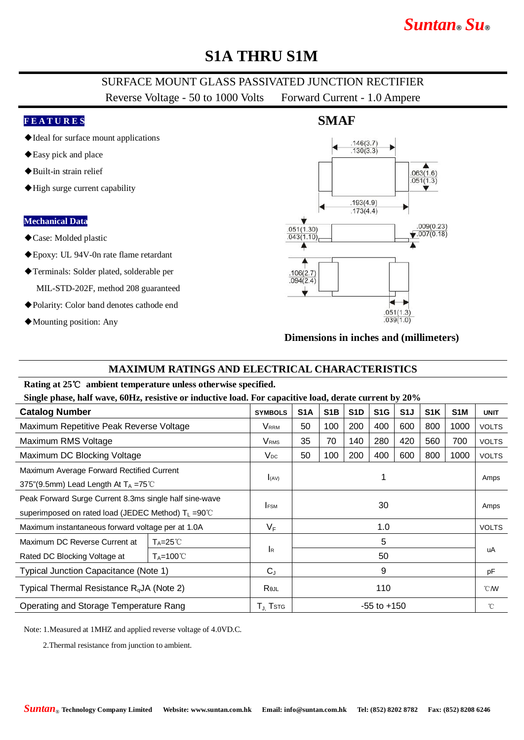# **S1A THRU S1M**

## SURFACE MOUNT GLASS PASSIVATED JUNCTION RECTIFIER

Reverse Voltage - 50 to 1000 Volts Forward Current - 1.0 Ampere

#### **F E A T U R E S**

- ◆Ideal for surface mount applications
- ◆Easy pick and place
- ◆Built-in strain relief
- ◆High surge current capability

#### **Mechanical Data**

- ◆Case: Molded plastic
- ◆Epoxy: UL 94V-0n rate flame retardant
- ◆Terminals: Solder plated, solderable per

MIL-STD-202F, method 208 guaranteed

- ◆Polarity: Color band denotes cathode end
- ◆Mounting position: Any



#### **Dimensions in inches and (millimeters)**

#### **MAXIMUM RATINGS AND ELECTRICAL CHARACTERISTICS**

#### **Rating at 25**℃ **ambient temperature unless otherwise specified.**

**Single phase, half wave, 60Hz, resistive or inductive load. For capacitive load, derate current by 20%**

| <b>Catalog Number</b>                                                                                                    |                       | <b>SYMBOLS</b>          | S <sub>1</sub> A | S <sub>1</sub> B | S <sub>1</sub> D | S <sub>1</sub> G | S1J | S <sub>1</sub> K | S <sub>1</sub> M | <b>UNIT</b>      |
|--------------------------------------------------------------------------------------------------------------------------|-----------------------|-------------------------|------------------|------------------|------------------|------------------|-----|------------------|------------------|------------------|
| Maximum Repetitive Peak Reverse Voltage                                                                                  |                       | <b>V</b> rrm            | 50               | 100              | 200              | 400              | 600 | 800              | 1000             | <b>VOLTS</b>     |
| Maximum RMS Voltage                                                                                                      |                       | <b>V</b> <sub>RMS</sub> | 35               | 70               | 140              | 280              | 420 | 560              | 700              | <b>VOLTS</b>     |
| Maximum DC Blocking Voltage                                                                                              |                       | $V_{DC}$                | 50               | 100              | 200              | 400              | 600 | 800              | 1000             | <b>VOLTS</b>     |
| Maximum Average Forward Rectified Current<br>375"(9.5mm) Lead Length At $T_A = 75^{\circ}$ C                             |                       | I(AV)                   | 1                |                  |                  |                  |     |                  |                  | Amps             |
| Peak Forward Surge Current 8.3ms single half sine-wave<br>superimposed on rated load (JEDEC Method) T <sub>L</sub> =90°C |                       | <b>IFSM</b>             | 30               |                  |                  |                  |     |                  |                  | Amps             |
| Maximum instantaneous forward voltage per at 1.0A                                                                        |                       | $V_F$                   | 1.0              |                  |                  |                  |     |                  |                  | <b>VOLTS</b>     |
| Maximum DC Reverse Current at                                                                                            | $T_A = 25^{\circ}C$   | 5<br><b>I</b> R<br>50   |                  |                  |                  |                  |     |                  | uA               |                  |
| Rated DC Blocking Voltage at                                                                                             | $T_A = 100^{\circ}$ C |                         |                  |                  |                  |                  |     |                  |                  |                  |
| Typical Junction Capacitance (Note 1)                                                                                    |                       | $C_{J}$                 | 9                |                  |                  |                  |     |                  |                  | pF               |
| Typical Thermal Resistance $R_{q}$ JA (Note 2)                                                                           |                       | Rejl                    | 110              |                  |                  |                  |     |                  |                  | $\mathcal{C}$ MV |
| Operating and Storage Temperature Rang                                                                                   |                       | $T_{\rm J}$ Tstg        | $-55$ to $+150$  |                  |                  |                  |     |                  |                  | °C               |

Note: 1.Measured at 1MHZ and applied reverse voltage of 4.0VD.C.

2.Thermal resistance from junction to ambient.

# **SMAF**